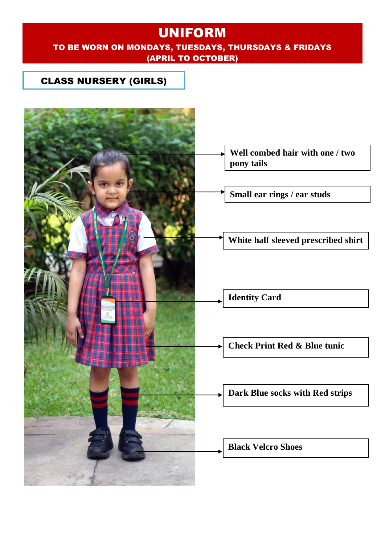### TO BE WORN ON MONDAYS, TUESDAYS, THURSDAYS & FRIDAYS (APRIL TO OCTOBER)

### CLASS NURSERY (GIRLS)

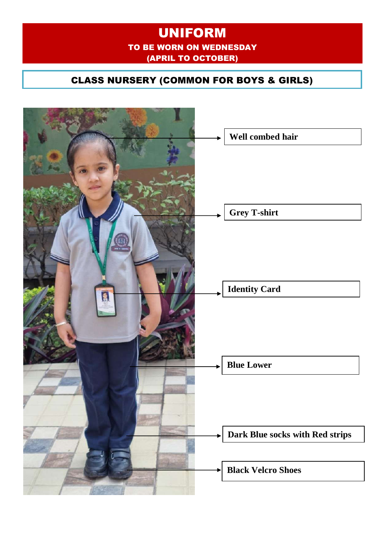## UNIFORM TO BE WORN ON WEDNESDAY (APRIL TO OCTOBER)

## CLASS NURSERY (COMMON FOR BOYS & GIRLS)

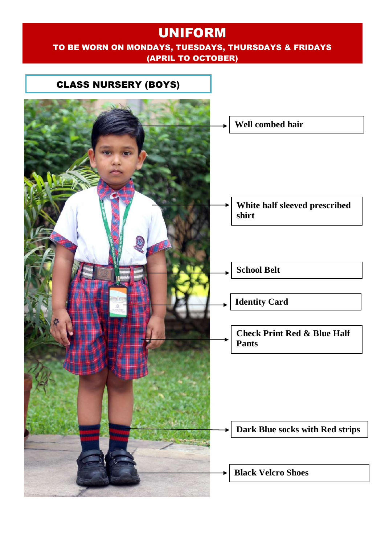## UNIFORM TO BE WORN ON MONDAYS, TUESDAYS, THURSDAYS & FRIDAYS (APRIL TO OCTOBER)

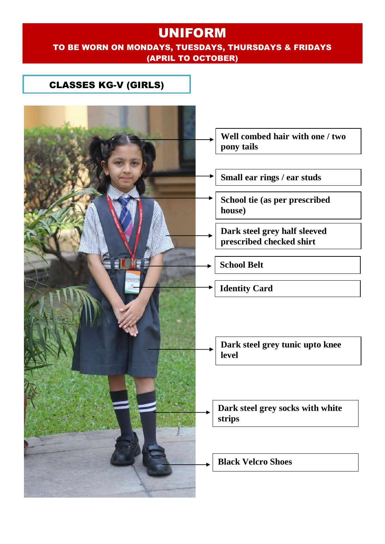#### TO BE WORN ON MONDAYS, TUESDAYS, THURSDAYS & FRIDAYS (APRIL TO OCTOBER)

### CLASSES KG-V (GIRLS)

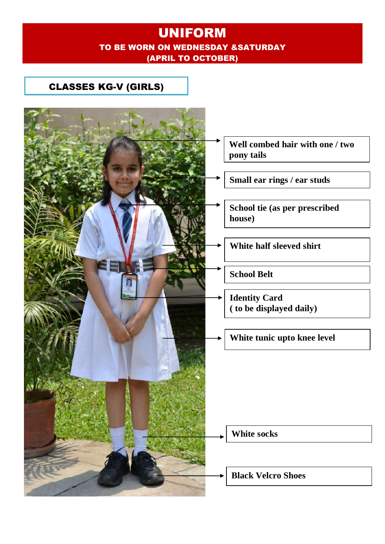## UNIFORM TO BE WORN ON WEDNESDAY &SATURDAY (APRIL TO OCTOBER)

## CLASSES KG-V (GIRLS)

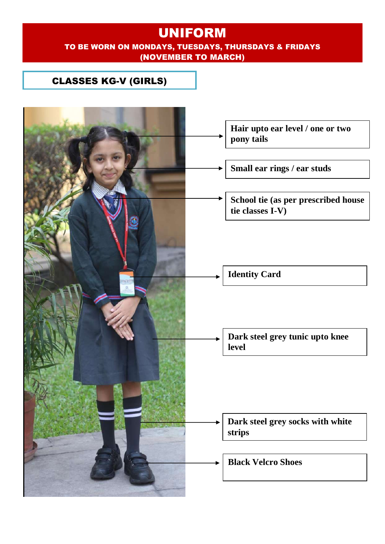#### TO BE WORN ON MONDAYS, TUESDAYS, THURSDAYS & FRIDAYS (NOVEMBER TO MARCH)

## CLASSES KG-V (GIRLS)

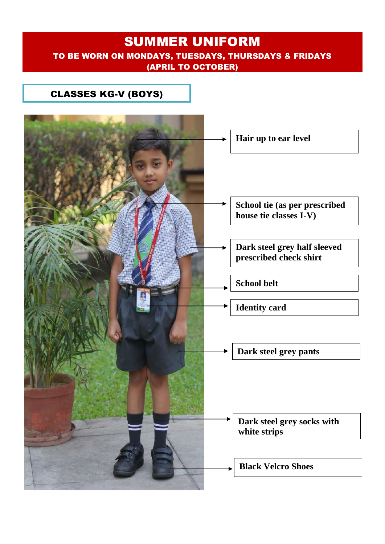## SUMMER UNIFORM TO BE WORN ON MONDAYS, TUESDAYS, THURSDAYS & FRIDAYS (APRIL TO OCTOBER)

### CLASSES KG-V (BOYS)

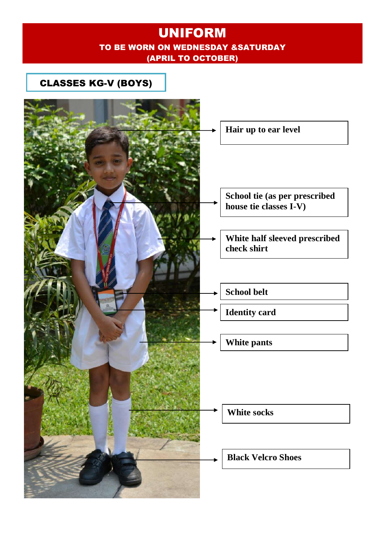## UNIFORM TO BE WORN ON WEDNESDAY &SATURDAY (APRIL TO OCTOBER)

### CLASSES KG-V (BOYS)